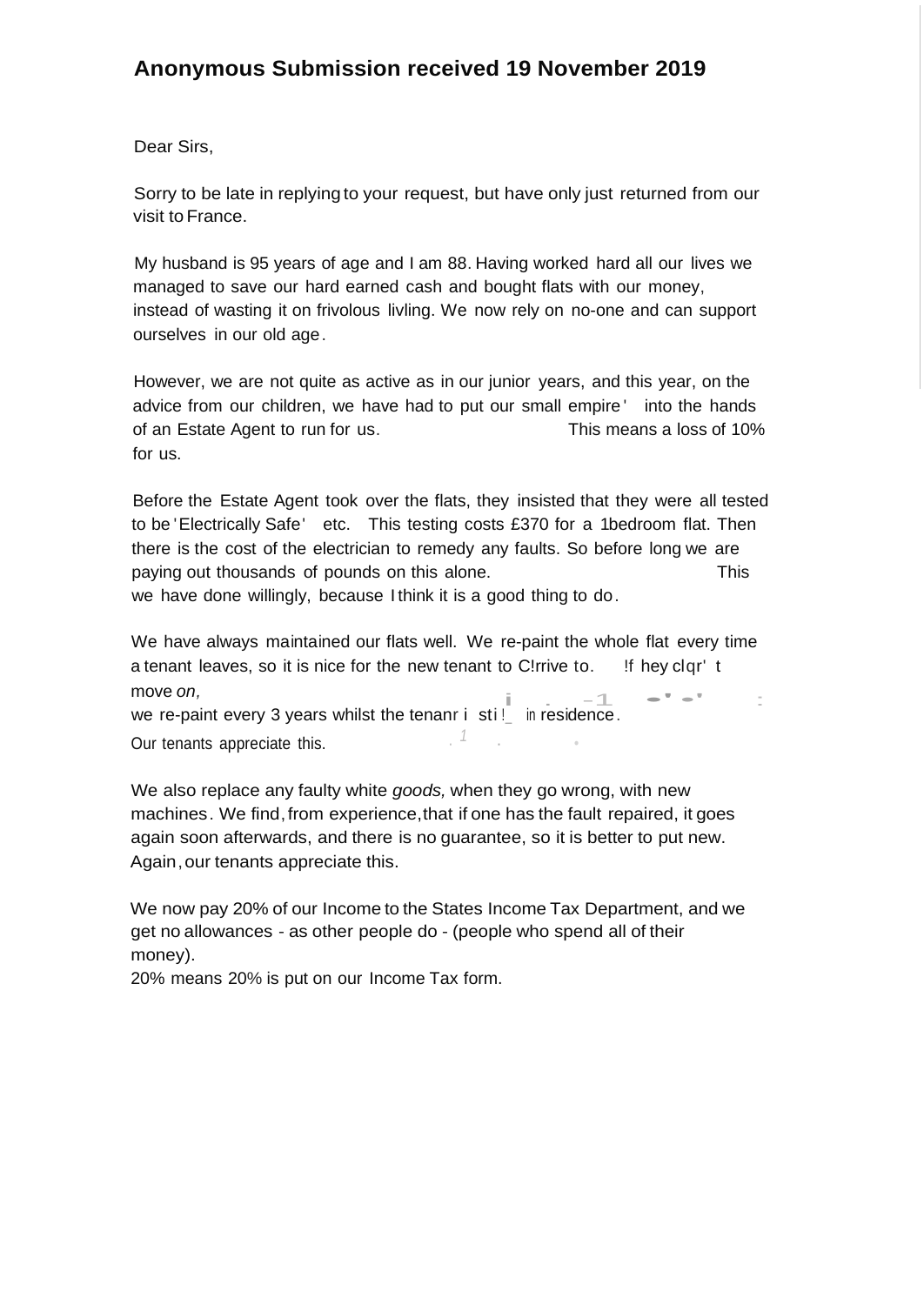## **Anonymous Submission received 19 November 2019**

## Dear Sirs,

Sorry to be late in replying to your request, but have only just returned from our visit to France.

My husband is 95 years of age and I am 88. Having worked hard all our lives we managed to save our hard earned cash and bought flats with our money, instead of wasting it on frivolous livling. We now rely on no-one and can support ourselves in our old age.

However, we are not quite as active as in our junior years, and this year, on the advice from our children, we have had to put our small empire ' into the hands of an Estate Agent to run for us. This means a loss of 10% for us.

Before the Estate Agent took over the flats, they insisted that they were all tested to be 'Electrically Safe' etc. This testing costs £370 for a 1bedroom flat. Then there is the cost of the electrician to remedy any faults. So before long we are paying out thousands of pounds on this alone. This we have done willingly, because I think it is a good thing to do.

We have always maintained our flats well. We re-paint the whole flat every time a tenant leaves, so it is nice for the new tenant to C!rrive to. If hey clqr' t<br>move *on*,<br>we re-paint overy 3 years whilst the tenant is still in residence move *on,*

we re-paint every 3 years whilst the tenanr i stil\_ in residence. *1* · •

Our tenants appreciate this.

We also replace any faulty white *goods,* when they go wrong, with new machines. We find, from experience, that if one has the fault repaired, it goes again soon afterwards, and there is no guarantee, so it is better to put new. Again,our tenants appreciate this.

We now pay 20% of our Income to the States Income Tax Department, and we get no allowances - as other people do - (people who spend all of their money).

20% means 20% is put on our Income Tax form.